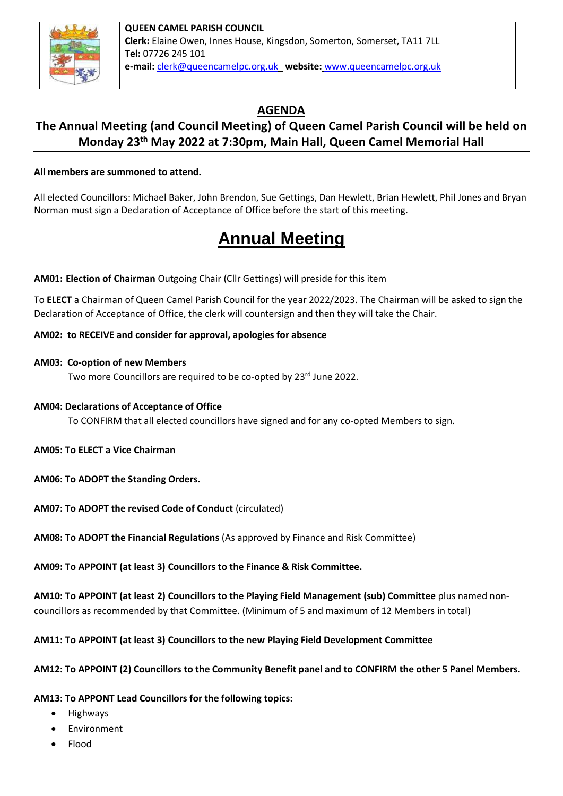

**QUEEN CAMEL PARISH COUNCIL Clerk:** Elaine Owen, Innes House, Kingsdon, Somerton, Somerset, TA11 7LL **Tel:** 07726 245 101 **e-mail:** [clerk@queencamelpc.org.uk](mailto:clerk@queencamelpc.org.uk) **website:** [www.queencamelpc.org.uk](http://www.queencamelpc.org.uk/)

## **AGENDA**

### **The Annual Meeting (and Council Meeting) of Queen Camel Parish Council will be held on Monday 23th May 2022 at 7:30pm, Main Hall, Queen Camel Memorial Hall**

#### **All members are summoned to attend.**

All elected Councillors: Michael Baker, John Brendon, Sue Gettings, Dan Hewlett, Brian Hewlett, Phil Jones and Bryan Norman must sign a Declaration of Acceptance of Office before the start of this meeting.

# **Annual Meeting**

**AM01: Election of Chairman** Outgoing Chair (Cllr Gettings) will preside for this item

To **ELECT** a Chairman of Queen Camel Parish Council for the year 2022/2023. The Chairman will be asked to sign the Declaration of Acceptance of Office, the clerk will countersign and then they will take the Chair.

#### **AM02: to RECEIVE and consider for approval, apologies for absence**

#### **AM03: Co-option of new Members**

Two more Councillors are required to be co-opted by 23rd June 2022.

#### **AM04: Declarations of Acceptance of Office**

To CONFIRM that all elected councillors have signed and for any co-opted Members to sign.

- **AM05: To ELECT a Vice Chairman**
- **AM06: To ADOPT the Standing Orders.**
- **AM07: To ADOPT the revised Code of Conduct** (circulated)

**AM08: To ADOPT the Financial Regulations** (As approved by Finance and Risk Committee)

**AM09: To APPOINT (at least 3) Councillors to the Finance & Risk Committee.**

**AM10: To APPOINT (at least 2) Councillors to the Playing Field Management (sub) Committee** plus named noncouncillors as recommended by that Committee. (Minimum of 5 and maximum of 12 Members in total)

**AM11: To APPOINT (at least 3) Councillors to the new Playing Field Development Committee**

#### **AM12: To APPOINT (2) Councillors to the Community Benefit panel and to CONFIRM the other 5 Panel Members.**

#### **AM13: To APPONT Lead Councillors for the following topics:**

- Highways
- Environment
- Flood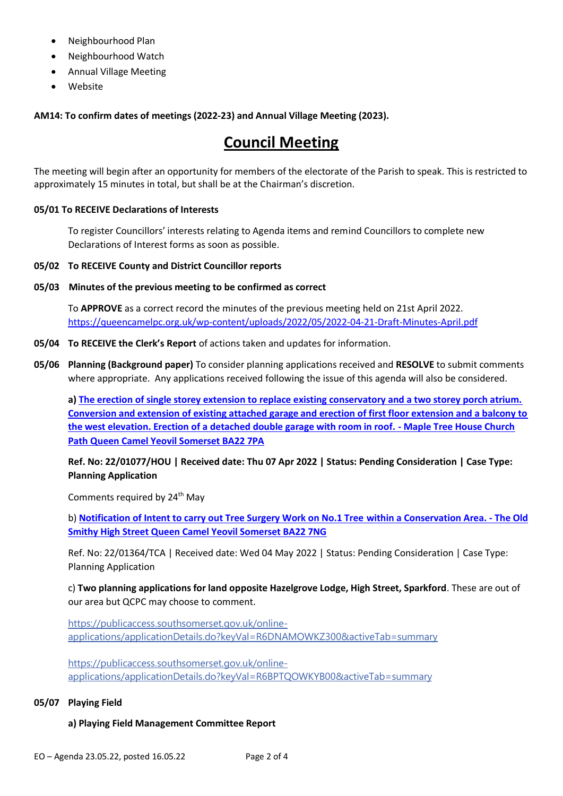- Neighbourhood Plan
- Neighbourhood Watch
- Annual Village Meeting
- Website

**AM14: To confirm dates of meetings (2022-23) and Annual Village Meeting (2023).** 

# **Council Meeting**

The meeting will begin after an opportunity for members of the electorate of the Parish to speak. This is restricted to approximately 15 minutes in total, but shall be at the Chairman's discretion.

#### **05/01 To RECEIVE Declarations of Interests**

To register Councillors' interests relating to Agenda items and remind Councillors to complete new Declarations of Interest forms as soon as possible.

#### **05/02 To RECEIVE County and District Councillor reports**

#### **05/03 Minutes of the previous meeting to be confirmed as correct**

To **APPROVE** as a correct record the minutes of the previous meeting held on 21st April 2022. <https://queencamelpc.org.uk/wp-content/uploads/2022/05/2022-04-21-Draft-Minutes-April.pdf>

- **05/04 To RECEIVE the Clerk's Report** of actions taken and updates for information.
- **05/06 Planning (Background paper)** To consider planning applications received and **RESOLVE** to submit comments where appropriate. Any applications received following the issue of this agenda will also be considered.

**a) [The erection of single storey extension to replace existing conservatory and a two storey porch atrium.](https://publicaccess.southsomerset.gov.uk/online-applications/centralDistribution.do?caseType=Application&keyVal=R9WVT2OWM4400)  [Conversion and extension of existing attached garage and erection of first floor extension and a balcony to](https://publicaccess.southsomerset.gov.uk/online-applications/centralDistribution.do?caseType=Application&keyVal=R9WVT2OWM4400)  [the west elevation. Erection of a detached double garage with room in roof. -](https://publicaccess.southsomerset.gov.uk/online-applications/centralDistribution.do?caseType=Application&keyVal=R9WVT2OWM4400) Maple Tree House Church [Path Queen Camel Yeovil Somerset BA22 7PA](https://publicaccess.southsomerset.gov.uk/online-applications/centralDistribution.do?caseType=Application&keyVal=R9WVT2OWM4400)**

**Ref. No: 22/01077/HOU | Received date: Thu 07 Apr 2022 | Status: Pending Consideration | Case Type: Planning Application**

Comments required by 24<sup>th</sup> May

b) **[Notification of Intent to carry out Tree Surgery Work on No.1 Tree within a Conservation Area. -](https://publicaccess.southsomerset.gov.uk/online-applications/centralDistribution.do?caseType=Application&keyVal=RBCKV8OWMKV00) The Old [Smithy High Street Queen Camel Yeovil Somerset BA22 7NG](https://publicaccess.southsomerset.gov.uk/online-applications/centralDistribution.do?caseType=Application&keyVal=RBCKV8OWMKV00)**

Ref. No: 22/01364/TCA | Received date: Wed 04 May 2022 | Status: Pending Consideration | Case Type: Planning Application

c) **Two planning applications for land opposite Hazelgrove Lodge, High Street, Sparkford**. These are out of our area but QCPC may choose to comment.

[https://publicaccess.southsomerset.gov.uk/online](https://publicaccess.southsomerset.gov.uk/online-applications/applicationDetails.do?keyVal=R6DNAMOWKZ300&activeTab=summary)[applications/applicationDetails.do?keyVal=R6DNAMOWKZ300&activeTab=summary](https://publicaccess.southsomerset.gov.uk/online-applications/applicationDetails.do?keyVal=R6DNAMOWKZ300&activeTab=summary)

[https://publicaccess.southsomerset.gov.uk/online](https://publicaccess.southsomerset.gov.uk/online-applications/applicationDetails.do?keyVal=R6BPTQOWKYB00&activeTab=summary)[applications/applicationDetails.do?keyVal=R6BPTQOWKYB00&activeTab=summary](https://publicaccess.southsomerset.gov.uk/online-applications/applicationDetails.do?keyVal=R6BPTQOWKYB00&activeTab=summary)

#### **05/07 Playing Field**

#### **a) Playing Field Management Committee Report**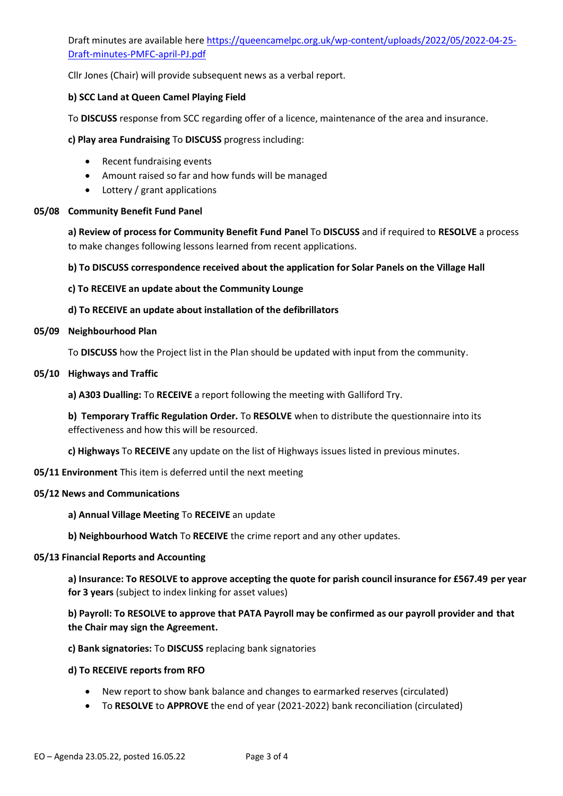Draft minutes are available her[e https://queencamelpc.org.uk/wp-content/uploads/2022/05/2022-04-25-](https://queencamelpc.org.uk/wp-content/uploads/2022/05/2022-04-25-Draft-minutes-PMFC-april-PJ.pdf) [Draft-minutes-PMFC-april-PJ.pdf](https://queencamelpc.org.uk/wp-content/uploads/2022/05/2022-04-25-Draft-minutes-PMFC-april-PJ.pdf)

Cllr Jones (Chair) will provide subsequent news as a verbal report.

#### **b) SCC Land at Queen Camel Playing Field**

To **DISCUSS** response from SCC regarding offer of a licence, maintenance of the area and insurance.

**c) Play area Fundraising** To **DISCUSS** progress including:

- Recent fundraising events
- Amount raised so far and how funds will be managed
- Lottery / grant applications

#### **05/08 Community Benefit Fund Panel**

**a) Review of process for Community Benefit Fund Panel** To **DISCUSS** and if required to **RESOLVE** a process to make changes following lessons learned from recent applications.

#### **b) To DISCUSS correspondence received about the application for Solar Panels on the Village Hall**

#### **c) To RECEIVE an update about the Community Lounge**

#### **d) To RECEIVE an update about installation of the defibrillators**

#### **05/09 Neighbourhood Plan**

To **DISCUSS** how the Project list in the Plan should be updated with input from the community.

#### **05/10 Highways and Traffic**

**a) A303 Dualling:** To **RECEIVE** a report following the meeting with Galliford Try.

**b) Temporary Traffic Regulation Order.** To **RESOLVE** when to distribute the questionnaire into its effectiveness and how this will be resourced.

**c) Highways** To **RECEIVE** any update on the list of Highways issues listed in previous minutes.

#### **05/11 Environment** This item is deferred until the next meeting

#### **05/12 News and Communications**

#### **a) Annual Village Meeting** To **RECEIVE** an update

**b) Neighbourhood Watch** To **RECEIVE** the crime report and any other updates.

#### **05/13 Financial Reports and Accounting**

**a) Insurance: To RESOLVE to approve accepting the quote for parish council insurance for £567.49 per year for 3 years** (subject to index linking for asset values)

**b) Payroll: To RESOLVE to approve that PATA Payroll may be confirmed as our payroll provider and that the Chair may sign the Agreement.**

**c) Bank signatories:** To **DISCUSS** replacing bank signatories

#### **d) To RECEIVE reports from RFO**

- New report to show bank balance and changes to earmarked reserves (circulated)
- To **RESOLVE** to **APPROVE** the end of year (2021-2022) bank reconciliation (circulated)